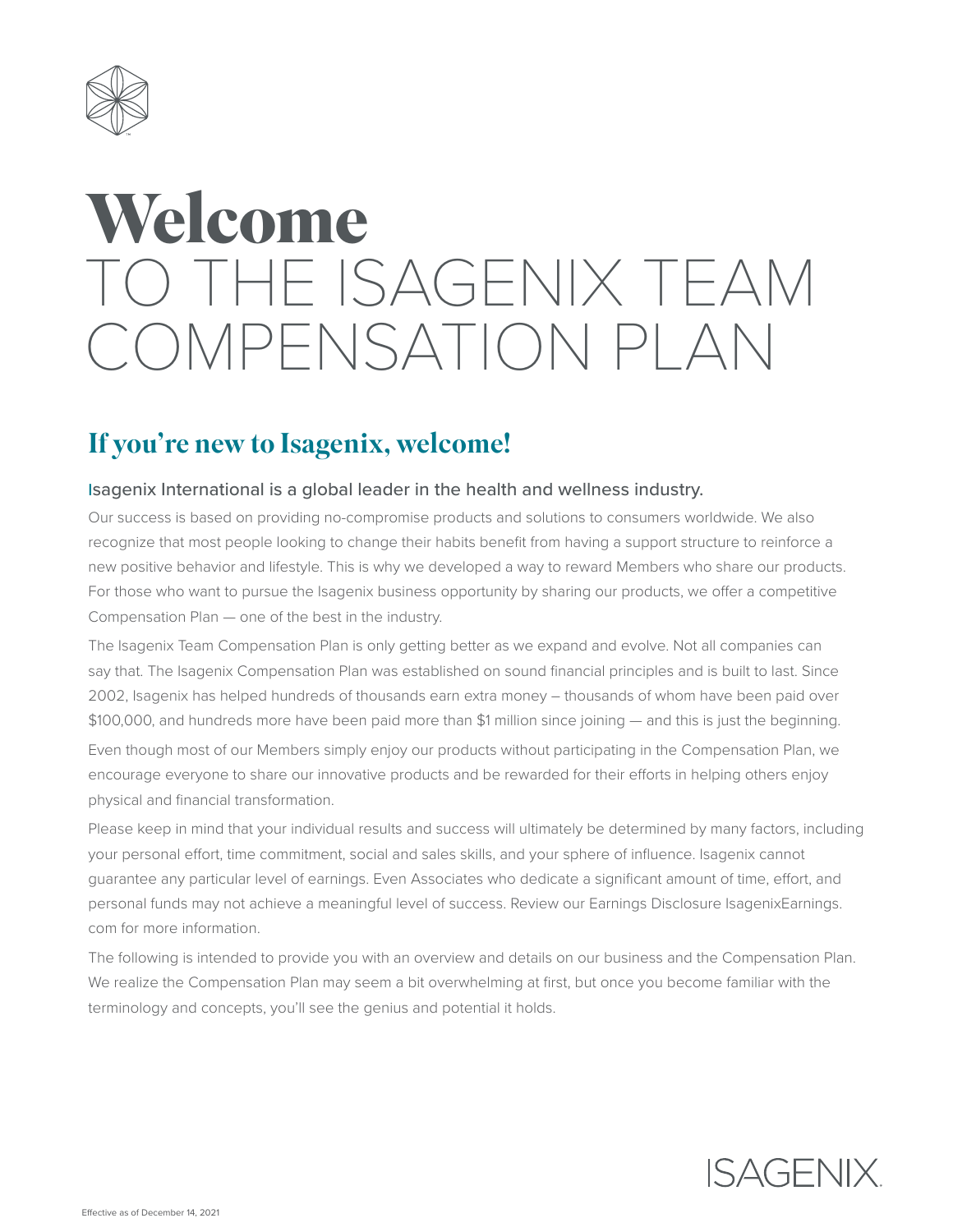

# **Welcome** TO THE ISAGENIX TEAM COMPENSATION PLAN

# If you're new to Isagenix, welcome!

### Isagenix International is a global leader in the health and wellness industry.

Our success is based on providing no-compromise products and solutions to consumers worldwide. We also recognize that most people looking to change their habits benefit from having a support structure to reinforce a new positive behavior and lifestyle. This is why we developed a way to reward Members who share our products. For those who want to pursue the Isagenix business opportunity by sharing our products, we offer a competitive Compensation Plan — one of the best in the industry.

The Isagenix Team Compensation Plan is only getting better as we expand and evolve. Not all companies can say that. The Isagenix Compensation Plan was established on sound financial principles and is built to last. Since 2002, Isagenix has helped hundreds of thousands earn extra money – thousands of whom have been paid over \$100,000, and hundreds more have been paid more than \$1 million since joining — and this is just the beginning.

Even though most of our Members simply enjoy our products without participating in the Compensation Plan, we encourage everyone to share our innovative products and be rewarded for their efforts in helping others enjoy physical and financial transformation.

Please keep in mind that your individual results and success will ultimately be determined by many factors, including your personal effort, time commitment, social and sales skills, and your sphere of influence. Isagenix cannot guarantee any particular level of earnings. Even Associates who dedicate a significant amount of time, effort, and personal funds may not achieve a meaningful level of success. Review our Earnings Disclosure IsagenixEarnings. com for more information.

The following is intended to provide you with an overview and details on our business and the Compensation Plan. We realize the Compensation Plan may seem a bit overwhelming at first, but once you become familiar with the terminology and concepts, you'll see the genius and potential it holds.

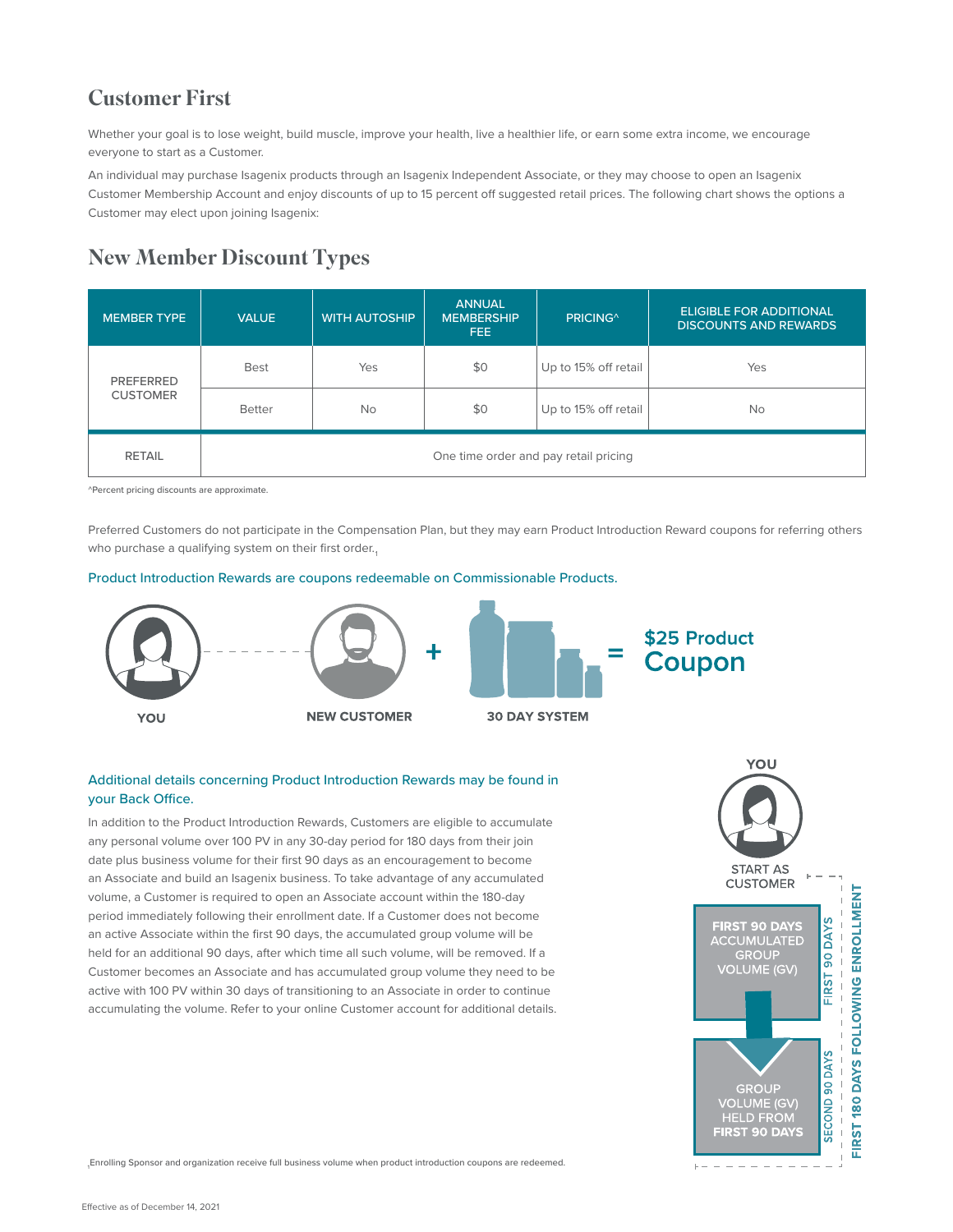# Customer First

Whether your goal is to lose weight, build muscle, improve your health, live a healthier life, or earn some extra income, we encourage everyone to start as a Customer.

An individual may purchase Isagenix products through an Isagenix Independent Associate, or they may choose to open an Isagenix Customer Membership Account and enjoy discounts of up to 15 percent off suggested retail prices. The following chart shows the options a Customer may elect upon joining Isagenix:

# New Member Discount Types

| <b>MEMBER TYPE</b>                  | <b>VALUE</b>                          | <b>WITH AUTOSHIP</b> | <b>ANNUAL</b><br><b>MEMBERSHIP</b><br>FEE: | PRICING <sup>^</sup> | <b>ELIGIBLE FOR ADDITIONAL</b><br><b>DISCOUNTS AND REWARDS</b> |  |
|-------------------------------------|---------------------------------------|----------------------|--------------------------------------------|----------------------|----------------------------------------------------------------|--|
| <b>PREFERRED</b><br><b>CUSTOMER</b> | <b>Best</b>                           | Yes                  | \$0                                        | Up to 15% off retail | Yes                                                            |  |
|                                     | <b>Better</b>                         | <b>No</b>            | \$0                                        | Up to 15% off retail | <b>No</b>                                                      |  |
| <b>RETAIL</b>                       | One time order and pay retail pricing |                      |                                            |                      |                                                                |  |

^Percent pricing discounts are approximate.

Preferred Customers do not participate in the Compensation Plan, but they may earn Product Introduction Reward coupons for referring others who purchase a qualifying system on their first order.

#### Product Introduction Rewards are coupons redeemable on Commissionable Products.



#### Additional details concerning Product Introduction Rewards may be found in your Back Office.

In addition to the Product Introduction Rewards, Customers are eligible to accumulate any personal volume over 100 PV in any 30-day period for 180 days from their join date plus business volume for their first 90 days as an encouragement to become an Associate and build an Isagenix business. To take advantage of any accumulated volume, a Customer is required to open an Associate account within the 180-day period immediately following their enrollment date. If a Customer does not become an active Associate within the first 90 days, the accumulated group volume will be held for an additional 90 days, after which time all such volume, will be removed. If a Customer becomes an Associate and has accumulated group volume they need to be active with 100 PV within 30 days of transitioning to an Associate in order to continue accumulating the volume. Refer to your online Customer account for additional details.



1 Enrolling Sponsor and organization receive full business volume when product introduction coupons are redeemed.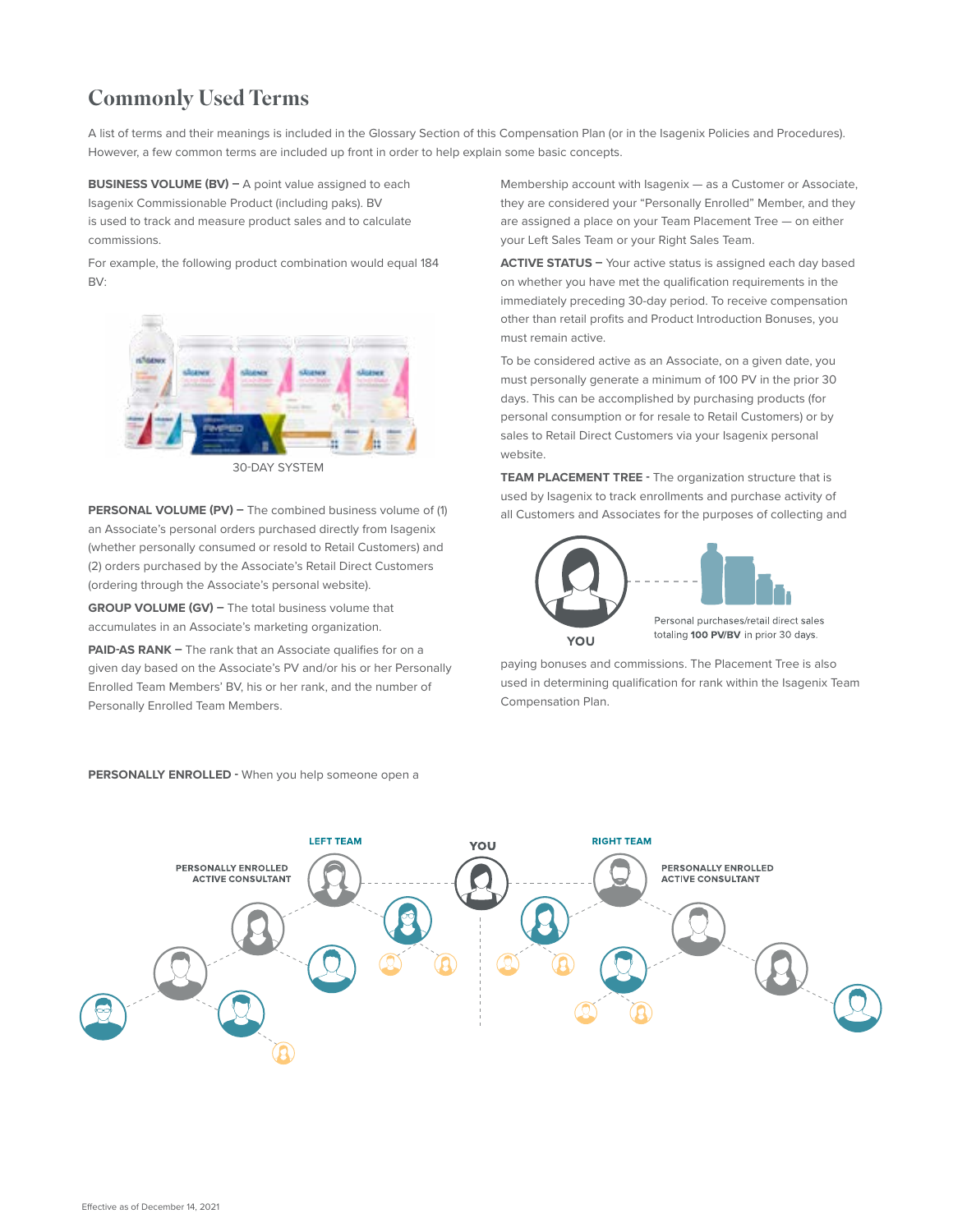# Commonly Used Terms

A list of terms and their meanings is included in the Glossary Section of this Compensation Plan (or in the Isagenix Policies and Procedures). However, a few common terms are included up front in order to help explain some basic concepts.

**BUSINESS VOLUME (BV) –** A point value assigned to each Isagenix Commissionable Product (including paks). BV is used to track and measure product sales and to calculate commissions.

For example, the following product combination would equal 184 BV:



30-DAY SYSTEM

**PERSONAL VOLUME (PV) –** The combined business volume of (1) an Associate's personal orders purchased directly from Isagenix (whether personally consumed or resold to Retail Customers) and (2) orders purchased by the Associate's Retail Direct Customers (ordering through the Associate's personal website).

**GROUP VOLUME (GV) –** The total business volume that accumulates in an Associate's marketing organization.

**PAID-AS RANK -** The rank that an Associate qualifies for on a given day based on the Associate's PV and/or his or her Personally Enrolled Team Members' BV, his or her rank, and the number of Personally Enrolled Team Members.

Membership account with Isagenix — as a Customer or Associate, they are considered your "Personally Enrolled" Member, and they are assigned a place on your Team Placement Tree — on either your Left Sales Team or your Right Sales Team.

**ACTIVE STATUS –** Your active status is assigned each day based on whether you have met the qualification requirements in the immediately preceding 30-day period. To receive compensation other than retail profits and Product Introduction Bonuses, you must remain active.

To be considered active as an Associate, on a given date, you must personally generate a minimum of 100 PV in the prior 30 days. This can be accomplished by purchasing products (for personal consumption or for resale to Retail Customers) or by sales to Retail Direct Customers via your Isagenix personal website.

**TEAM PLACEMENT TREE -** The organization structure that is used by Isagenix to track enrollments and purchase activity of all Customers and Associates for the purposes of collecting and



paying bonuses and commissions. The Placement Tree is also used in determining qualification for rank within the Isagenix Team Compensation Plan.



**PERSONALLY ENROLLED -** When you help someone open a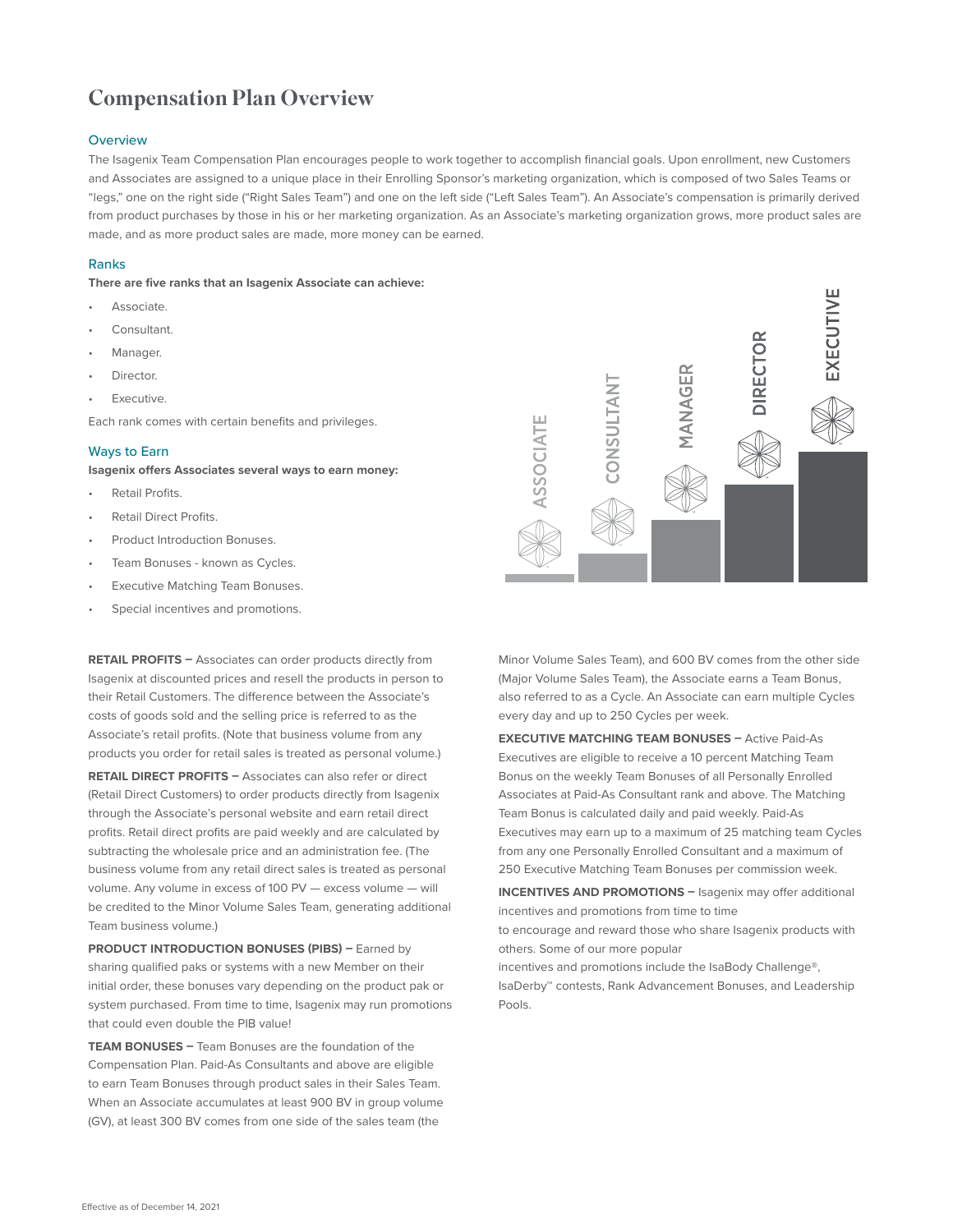# Compensation Plan Overview

#### **Overview**

The Isagenix Team Compensation Plan encourages people to work together to accomplish financial goals. Upon enrollment, new Customers and Associates are assigned to a unique place in their Enrolling Sponsor's marketing organization, which is composed of two Sales Teams or "legs," one on the right side ("Right Sales Team") and one on the left side ("Left Sales Team"). An Associate's compensation is primarily derived from product purchases by those in his or her marketing organization. As an Associate's marketing organization grows, more product sales are made, and as more product sales are made, more money can be earned.

#### Ranks

**There are five ranks that an Isagenix Associate can achieve:** 

- Associate.
- Consultant.
- Manager.
- Director.
- *<u>Executive</u>*

Each rank comes with certain benefits and privileges.

#### Ways to Earn

**Isagenix offers Associates several ways to earn money:**

- Retail Profits.
- Retail Direct Profits.
- Product Introduction Bonuses.
- Team Bonuses known as Cycles.
- Executive Matching Team Bonuses.
- Special incentives and promotions.

**RETAIL PROFITS –** Associates can order products directly from Isagenix at discounted prices and resell the products in person to their Retail Customers. The difference between the Associate's costs of goods sold and the selling price is referred to as the Associate's retail profits. (Note that business volume from any products you order for retail sales is treated as personal volume.)

**RETAIL DIRECT PROFITS –** Associates can also refer or direct (Retail Direct Customers) to order products directly from Isagenix through the Associate's personal website and earn retail direct profits. Retail direct profits are paid weekly and are calculated by subtracting the wholesale price and an administration fee. (The business volume from any retail direct sales is treated as personal volume. Any volume in excess of 100 PV — excess volume — will be credited to the Minor Volume Sales Team, generating additional Team business volume.)

**PRODUCT INTRODUCTION BONUSES (PIBS) - Earned by** sharing qualified paks or systems with a new Member on their initial order, these bonuses vary depending on the product pak or system purchased. From time to time, Isagenix may run promotions that could even double the PIB value!

**TEAM BONUSES –** Team Bonuses are the foundation of the Compensation Plan. Paid-As Consultants and above are eligible to earn Team Bonuses through product sales in their Sales Team. When an Associate accumulates at least 900 BV in group volume (GV), at least 300 BV comes from one side of the sales team (the



Minor Volume Sales Team), and 600 BV comes from the other side (Major Volume Sales Team), the Associate earns a Team Bonus, also referred to as a Cycle. An Associate can earn multiple Cycles every day and up to 250 Cycles per week.

**EXECUTIVE MATCHING TEAM BONUSES –** Active Paid-As Executives are eligible to receive a 10 percent Matching Team Bonus on the weekly Team Bonuses of all Personally Enrolled Associates at Paid-As Consultant rank and above. The Matching Team Bonus is calculated daily and paid weekly. Paid-As Executives may earn up to a maximum of 25 matching team Cycles from any one Personally Enrolled Consultant and a maximum of 250 Executive Matching Team Bonuses per commission week.

**INCENTIVES AND PROMOTIONS –** Isagenix may offer additional incentives and promotions from time to time

to encourage and reward those who share Isagenix products with others. Some of our more popular

incentives and promotions include the IsaBody Challenge®, IsaDerby™ contests, Rank Advancement Bonuses, and Leadership Pools.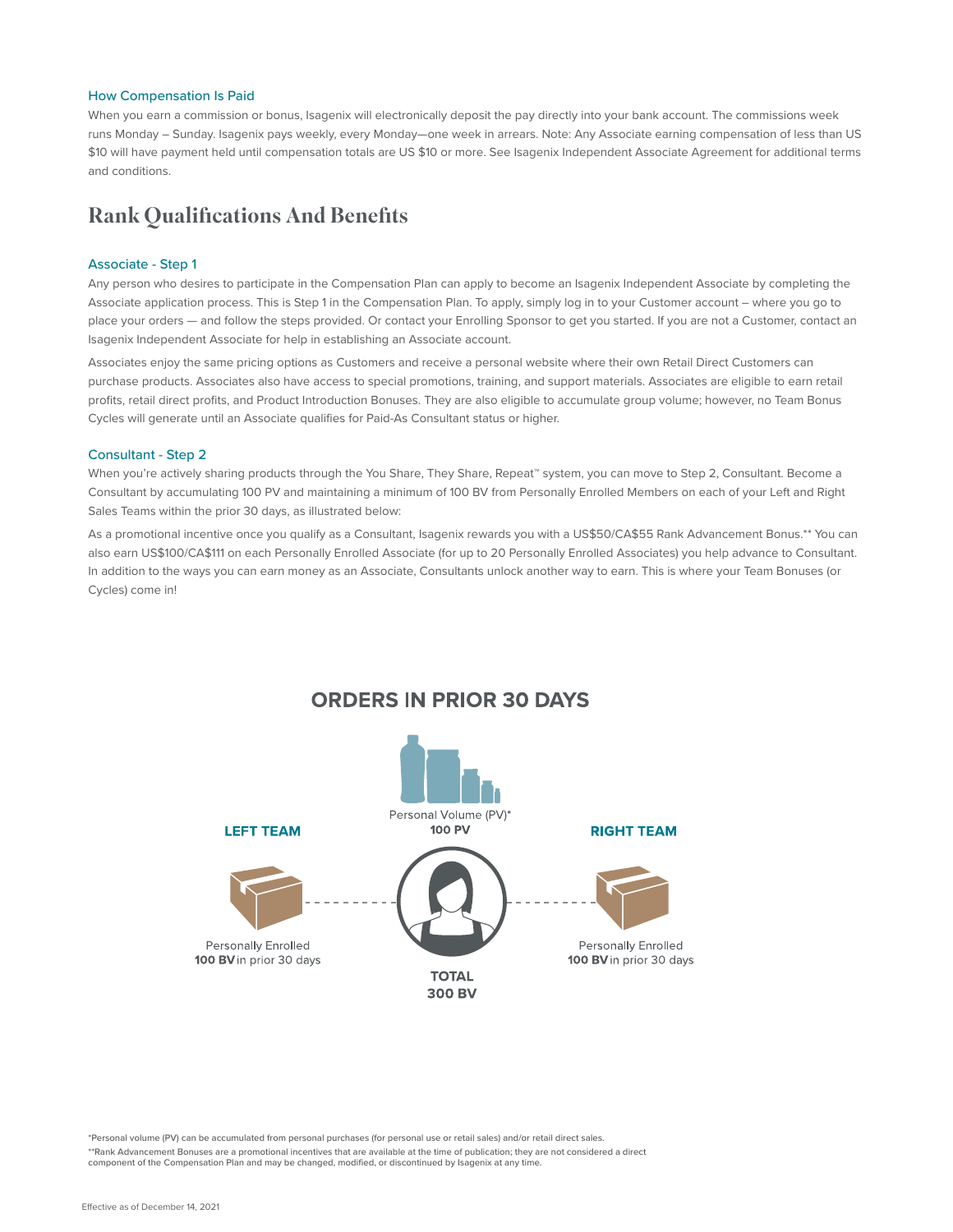#### How Compensation Is Paid

When you earn a commission or bonus, Isagenix will electronically deposit the pay directly into your bank account. The commissions week runs Monday – Sunday. Isagenix pays weekly, every Monday—one week in arrears. Note: Any Associate earning compensation of less than US \$10 will have payment held until compensation totals are US \$10 or more. See Isagenix Independent Associate Agreement for additional terms and conditions.

## Rank Qualifications And Benefits

#### Associate - Step 1

Any person who desires to participate in the Compensation Plan can apply to become an Isagenix Independent Associate by completing the Associate application process. This is Step 1 in the Compensation Plan. To apply, simply log in to your Customer account – where you go to place your orders - and follow the steps provided. Or contact your Enrolling Sponsor to get you started. If you are not a Customer, contact an Isagenix Independent Associate for help in establishing an Associate account.

Associates enjoy the same pricing options as Customers and receive a personal website where their own Retail Direct Customers can purchase products. Associates also have access to special promotions, training, and support materials. Associates are eligible to earn retail profits, retail direct profits, and Product Introduction Bonuses. They are also eligible to accumulate group volume; however, no Team Bonus Cycles will generate until an Associate qualifies for Paid-As Consultant status or higher.

#### Consultant - Step 2

When you're actively sharing products through the You Share, They Share, Repeat™ system, you can move to Step 2, Consultant. Become a Consultant by accumulating 100 PV and maintaining a minimum of 100 BV from Personally Enrolled Members on each of your Left and Right Sales Teams within the prior 30 days, as illustrated below:

As a promotional incentive once you qualify as a Consultant, Isagenix rewards you with a US\$50/CA\$55 Rank Advancement Bonus.\*\* You can also earn US\$100/CA\$111 on each Personally Enrolled Associate (for up to 20 Personally Enrolled Associates) you help advance to Consultant. In addition to the ways you can earn money as an Associate, Consultants unlock another way to earn. This is where your Team Bonuses (or Cycles) come in!



**ORDERS IN PRIOR 30 DAYS** 

\*Personal volume (PV) can be accumulated from personal purchases (for personal use or retail sales) and/or retail direct sales.

\*\*Rank Advancement Bonuses are a promotional incentives that are available at the time of publication; they are not considered a direct component of the Compensation Plan and may be changed, modified, or discontinued by Isagenix at any time.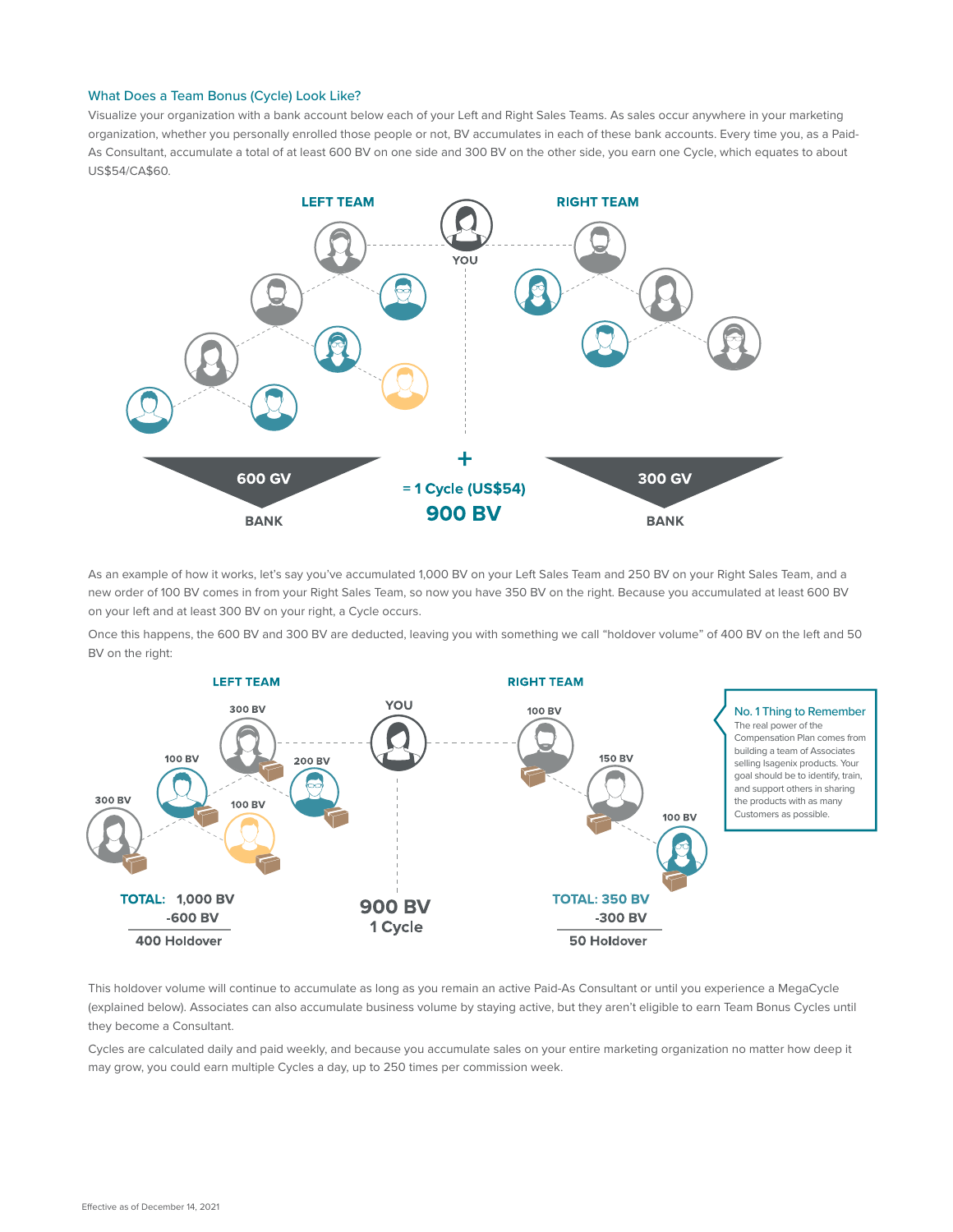#### What Does a Team Bonus (Cycle) Look Like?

Visualize your organization with a bank account below each of your Left and Right Sales Teams. As sales occur anywhere in your marketing organization, whether you personally enrolled those people or not, BV accumulates in each of these bank accounts. Every time you, as a Paid-As Consultant, accumulate a total of at least 600 BV on one side and 300 BV on the other side, you earn one Cycle, which equates to about US\$54/CA\$60.



As an example of how it works, let's say you've accumulated 1,000 BV on your Left Sales Team and 250 BV on your Right Sales Team, and a new order of 100 BV comes in from your Right Sales Team, so now you have 350 BV on the right. Because you accumulated at least 600 BV on your left and at least 300 BV on your right, a Cycle occurs.

Once this happens, the 600 BV and 300 BV are deducted, leaving you with something we call "holdover volume" of 400 BV on the left and 50 BV on the right:



This holdover volume will continue to accumulate as long as you remain an active Paid-As Consultant or until you experience a MegaCycle (explained below). Associates can also accumulate business volume by staying active, but they aren't eligible to earn Team Bonus Cycles until they become a Consultant.

Cycles are calculated daily and paid weekly, and because you accumulate sales on your entire marketing organization no matter how deep it may grow, you could earn multiple Cycles a day, up to 250 times per commission week.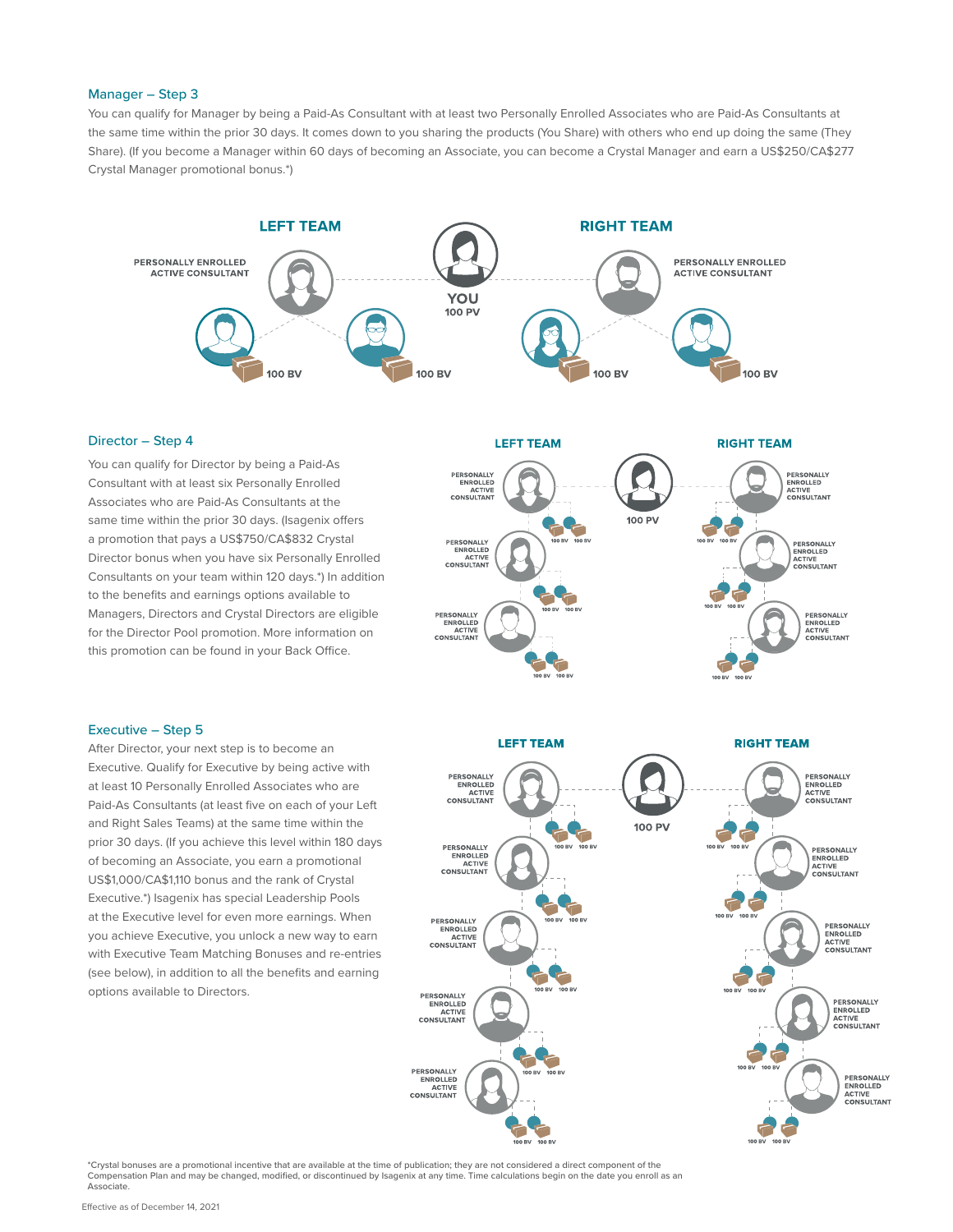#### Manager – Step 3

You can qualify for Manager by being a Paid-As Consultant with at least two Personally Enrolled Associates who are Paid-As Consultants at the same time within the prior 30 days. It comes down to you sharing the products (You Share) with others who end up doing the same (They Share). (If you become a Manager within 60 days of becoming an Associate, you can become a Crystal Manager and earn a US\$250/CA\$277 Crystal Manager promotional bonus.\*)



#### Director – Step 4

You can qualify for Director by being a Paid-As Consultant with at least six Personally Enrolled Associates who are Paid-As Consultants at the same time within the prior 30 days. (Isagenix offers a promotion that pays a US\$750/CA\$832 Crystal Director bonus when you have six Personally Enrolled Consultants on your team within 120 days.\*) In addition to the benefits and earnings options available to Managers, Directors and Crystal Directors are eligible for the Director Pool promotion. More information on this promotion can be found in your Back Office.



#### Executive – Step 5

After Director, your next step is to become an Executive. Qualify for Executive by being active with at least 10 Personally Enrolled Associates who are Paid-As Consultants (at least five on each of your Left and Right Sales Teams) at the same time within the prior 30 days. (If you achieve this level within 180 days of becoming an Associate, you earn a promotional US\$1,000/CA\$1,110 bonus and the rank of Crystal Executive.\*) Isagenix has special Leadership Pools at the Executive level for even more earnings. When you achieve Executive, you unlock a new way to earn with Executive Team Matching Bonuses and re-entries (see below), in addition to all the benefits and earning options available to Directors.



\*Crystal bonuses are a promotional incentive that are available at the time of publication; they are not considered a direct component of the Compensation Plan and may be changed, modified, or discontinued by Isagenix at any time. Time calculations begin on the date you enroll as an Associate.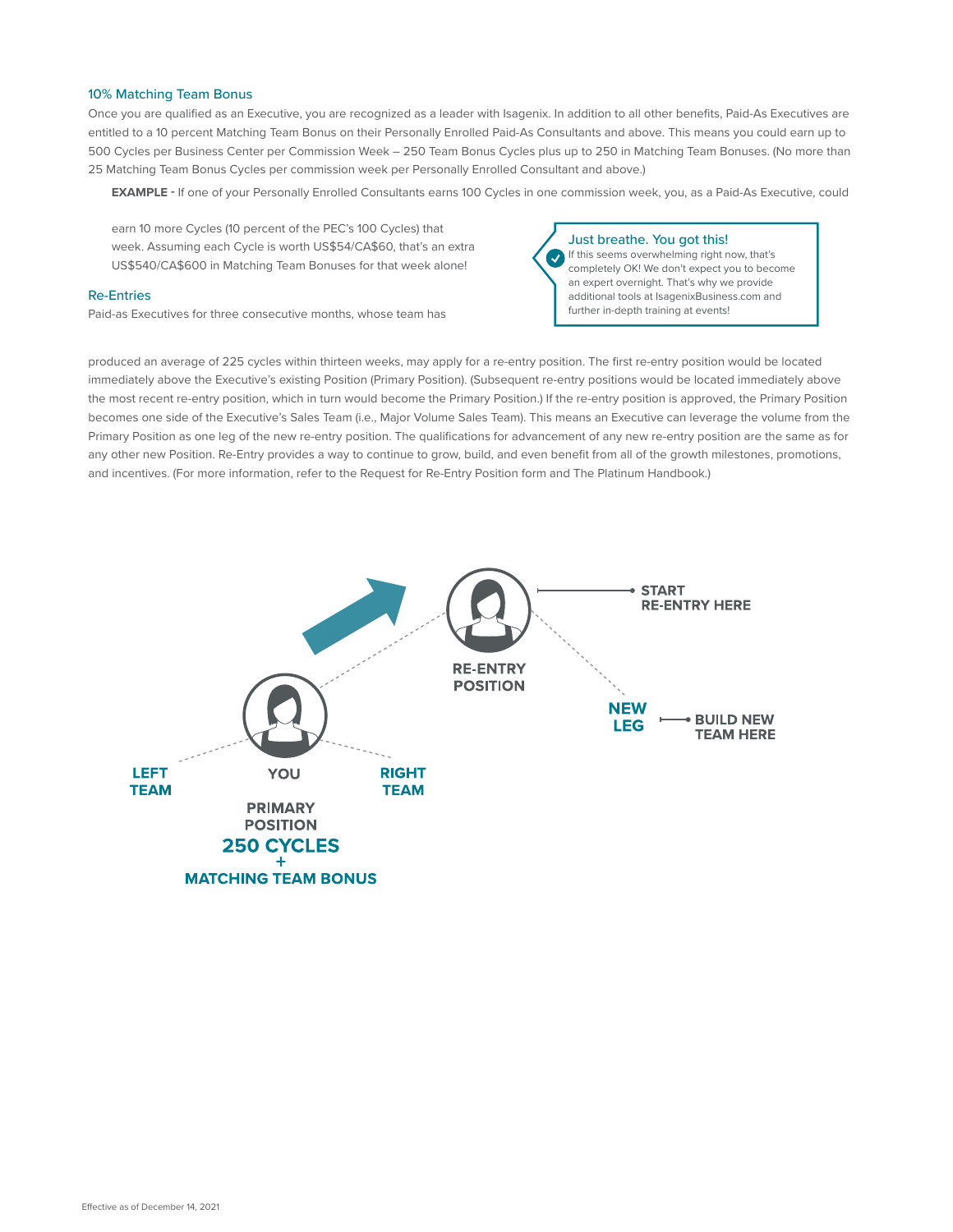#### 10% Matching Team Bonus

Once you are qualified as an Executive, you are recognized as a leader with Isagenix. In addition to all other benefits, Paid-As Executives are entitled to a 10 percent Matching Team Bonus on their Personally Enrolled Paid-As Consultants and above. This means you could earn up to 500 Cycles per Business Center per Commission Week – 250 Team Bonus Cycles plus up to 250 in Matching Team Bonuses. (No more than 25 Matching Team Bonus Cycles per commission week per Personally Enrolled Consultant and above.)

**EXAMPLE -** If one of your Personally Enrolled Consultants earns 100 Cycles in one commission week, you, as a Paid-As Executive, could

earn 10 more Cycles (10 percent of the PEC's 100 Cycles) that week. Assuming each Cycle is worth US\$54/CA\$60, that's an extra US\$540/CA\$600 in Matching Team Bonuses for that week alone!

#### Re-Entries

Paid-as Executives for three consecutive months, whose team has

Just breathe. You got this! If this seems overwhelming right now, that's completely OK! We don't expect you to become an expert overnight. That's why we provide additional tools at IsagenixBusiness.com and further in-depth training at events!

produced an average of 225 cycles within thirteen weeks, may apply for a re-entry position. The first re-entry position would be located immediately above the Executive's existing Position (Primary Position). (Subsequent re-entry positions would be located immediately above the most recent re-entry position, which in turn would become the Primary Position.) If the re-entry position is approved, the Primary Position becomes one side of the Executive's Sales Team (i.e., Major Volume Sales Team). This means an Executive can leverage the volume from the Primary Position as one leg of the new re-entry position. The qualifications for advancement of any new re-entry position are the same as for any other new Position. Re-Entry provides a way to continue to grow, build, and even benefit from all of the growth milestones, promotions, and incentives. (For more information, refer to the Request for Re-Entry Position form and The Platinum Handbook.)

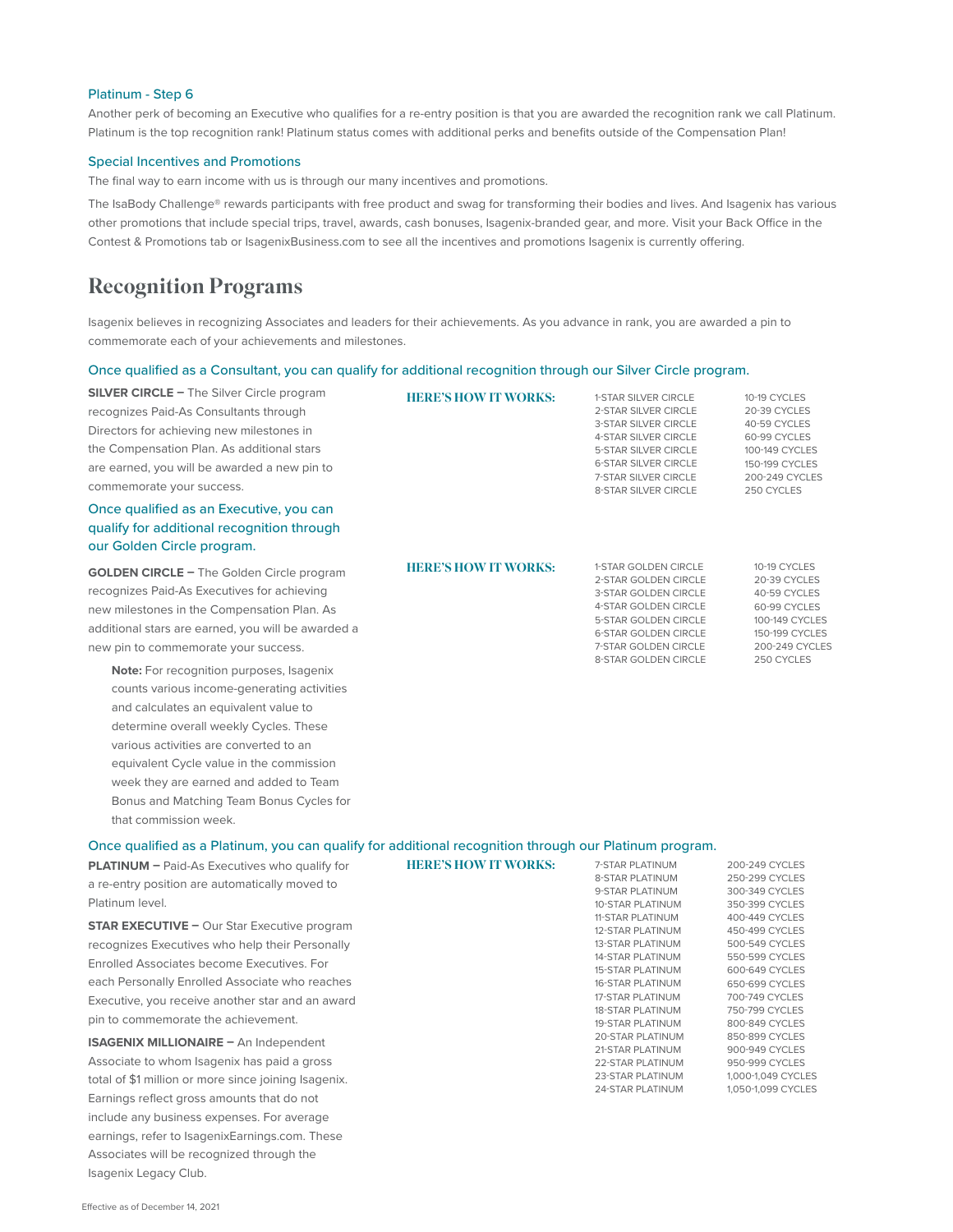#### Platinum - Step 6

Another perk of becoming an Executive who qualifies for a re-entry position is that you are awarded the recognition rank we call Platinum. Platinum is the top recognition rank! Platinum status comes with additional perks and benefits outside of the Compensation Plan!

#### Special Incentives and Promotions

The final way to earn income with us is through our many incentives and promotions.

The IsaBody Challenge® rewards participants with free product and swag for transforming their bodies and lives. And Isagenix has various other promotions that include special trips, travel, awards, cash bonuses, Isagenix-branded gear, and more. Visit your Back Office in the Contest & Promotions tab or IsagenixBusiness.com to see all the incentives and promotions Isagenix is currently offering.

## Recognition Programs

Isagenix believes in recognizing Associates and leaders for their achievements. As you advance in rank, you are awarded a pin to commemorate each of your achievements and milestones.

#### Once qualified as a Consultant, you can qualify for additional recognition through our Silver Circle program.

| <b>HERE'S HOW IT WORKS:</b> | <b>1-STAR SILVER CIRCLE</b> | 10-19 CYCLES                                                                                                                                                                                            |
|-----------------------------|-----------------------------|---------------------------------------------------------------------------------------------------------------------------------------------------------------------------------------------------------|
|                             |                             | 20-39 CYCLES<br>40-59 CYCLES                                                                                                                                                                            |
|                             | <b>4-STAR SILVER CIRCLE</b> | 60-99 CYCLES                                                                                                                                                                                            |
|                             | <b>5-STAR SILVER CIRCLE</b> | 100-149 CYCLES                                                                                                                                                                                          |
|                             | <b>6-STAR SILVER CIRCLE</b> | 150-199 CYCLES<br>200-249 CYCLES                                                                                                                                                                        |
|                             | <b>8-STAR SILVER CIRCLE</b> | 250 CYCLES                                                                                                                                                                                              |
|                             |                             |                                                                                                                                                                                                         |
|                             |                             |                                                                                                                                                                                                         |
|                             |                             |                                                                                                                                                                                                         |
| <b>HERE'S HOW IT WORKS:</b> | 1-STAR GOLDEN CIRCLE        | 10-19 CYCLES                                                                                                                                                                                            |
|                             |                             | 20-39 CYCLES<br>40-59 CYCLES                                                                                                                                                                            |
|                             | 4-STAR GOLDEN CIRCLE        | 60-99 CYCLES                                                                                                                                                                                            |
|                             | 5-STAR GOLDEN CIRCLE        | 100-149 CYCLES                                                                                                                                                                                          |
|                             |                             | 150-199 CYCLES<br>200-249 CYCLES                                                                                                                                                                        |
|                             | <b>8-STAR GOLDEN CIRCLE</b> | 250 CYCLES                                                                                                                                                                                              |
|                             |                             |                                                                                                                                                                                                         |
|                             |                             |                                                                                                                                                                                                         |
|                             |                             |                                                                                                                                                                                                         |
|                             |                             |                                                                                                                                                                                                         |
|                             |                             |                                                                                                                                                                                                         |
|                             |                             |                                                                                                                                                                                                         |
|                             |                             |                                                                                                                                                                                                         |
|                             |                             |                                                                                                                                                                                                         |
|                             |                             | 2-STAR SILVER CIRCLE<br><b>3-STAR SILVER CIRCLE</b><br><b>7-STAR SILVER CIRCLE</b><br>2-STAR GOLDEN CIRCLE<br><b>3-STAR GOLDEN CIRCLE</b><br><b>6-STAR GOLDEN CIRCLE</b><br><b>7-STAR GOLDEN CIRCLE</b> |

#### Once qualified as a Platinum, you can qualify for additional recognition through our Platinum program.

| <b>PLATINUM</b> $-$ Paid-As Executives who qualify for | <b>HERE'S HOW IT WORKS:</b> | 7-STAR PLATINUM                                                                                                                                                                                                                  | 200-249 CYCLES     |
|--------------------------------------------------------|-----------------------------|----------------------------------------------------------------------------------------------------------------------------------------------------------------------------------------------------------------------------------|--------------------|
| a re-entry position are automatically moved to         |                             | <b>8-STAR PLATINUM</b>                                                                                                                                                                                                           | 250-299 CYCLES     |
|                                                        |                             |                                                                                                                                                                                                                                  | 300-349 CYCLES     |
| Platinum level.                                        |                             |                                                                                                                                                                                                                                  | 350-399 CYCLES     |
| <b>STAR EXECUTIVE - Our Star Executive program</b>     |                             |                                                                                                                                                                                                                                  | 400-449 CYCLES     |
|                                                        |                             | <b>12-STAR PLATINUM</b>                                                                                                                                                                                                          | 450-499 CYCLES     |
| recognizes Executives who help their Personally        |                             | <b>13-STAR PLATINUM</b>                                                                                                                                                                                                          | 500-549 CYCLES     |
| Enrolled Associates become Executives. For             |                             | <b>14-STAR PLATINUM</b>                                                                                                                                                                                                          | 550-599 CYCLES     |
|                                                        |                             | <b>15-STAR PLATINUM</b>                                                                                                                                                                                                          | 600-649 CYCLES     |
| each Personally Enrolled Associate who reaches         |                             | <b>16-STAR PLATINUM</b>                                                                                                                                                                                                          | 650-699 CYCLES     |
| Executive, you receive another star and an award       |                             |                                                                                                                                                                                                                                  | 700-749 CYCLES     |
|                                                        |                             | <b>18-STAR PLATINUM</b>                                                                                                                                                                                                          | 750-799 CYCLES     |
| pin to commemorate the achievement.                    |                             | <b>19-STAR PLATINUM</b>                                                                                                                                                                                                          | 800-849 CYCLES     |
| <b>ISAGENIX MILLIONAIRE - An Independent</b>           |                             | 9-STAR PLATINUM<br><b>10-STAR PLATINUM</b><br><b>11-STAR PLATINUM</b><br>17-STAR PLATINUM<br><b>20-STAR PLATINUM</b><br><b>21-STAR PLATINUM</b><br><b>22-STAR PLATINUM</b><br><b>23-STAR PLATINUM</b><br><b>24-STAR PLATINUM</b> | 850-899 CYCLES     |
|                                                        |                             |                                                                                                                                                                                                                                  | 900-949 CYCLES     |
| Associate to whom Isagenix has paid a gross            |                             |                                                                                                                                                                                                                                  | 950-999 CYCLES     |
| total of \$1 million or more since joining Isagenix.   |                             |                                                                                                                                                                                                                                  | 1,000-1,049 CYCLES |
|                                                        |                             |                                                                                                                                                                                                                                  | 1,050-1,099 CYCLES |
| Earnings reflect gross amounts that do not             |                             |                                                                                                                                                                                                                                  |                    |
| include any business expenses. For average             |                             |                                                                                                                                                                                                                                  |                    |

Isagenix Legacy Club.

earnings, refer to IsagenixEarnings.com. These Associates will be recognized through the

that commission week.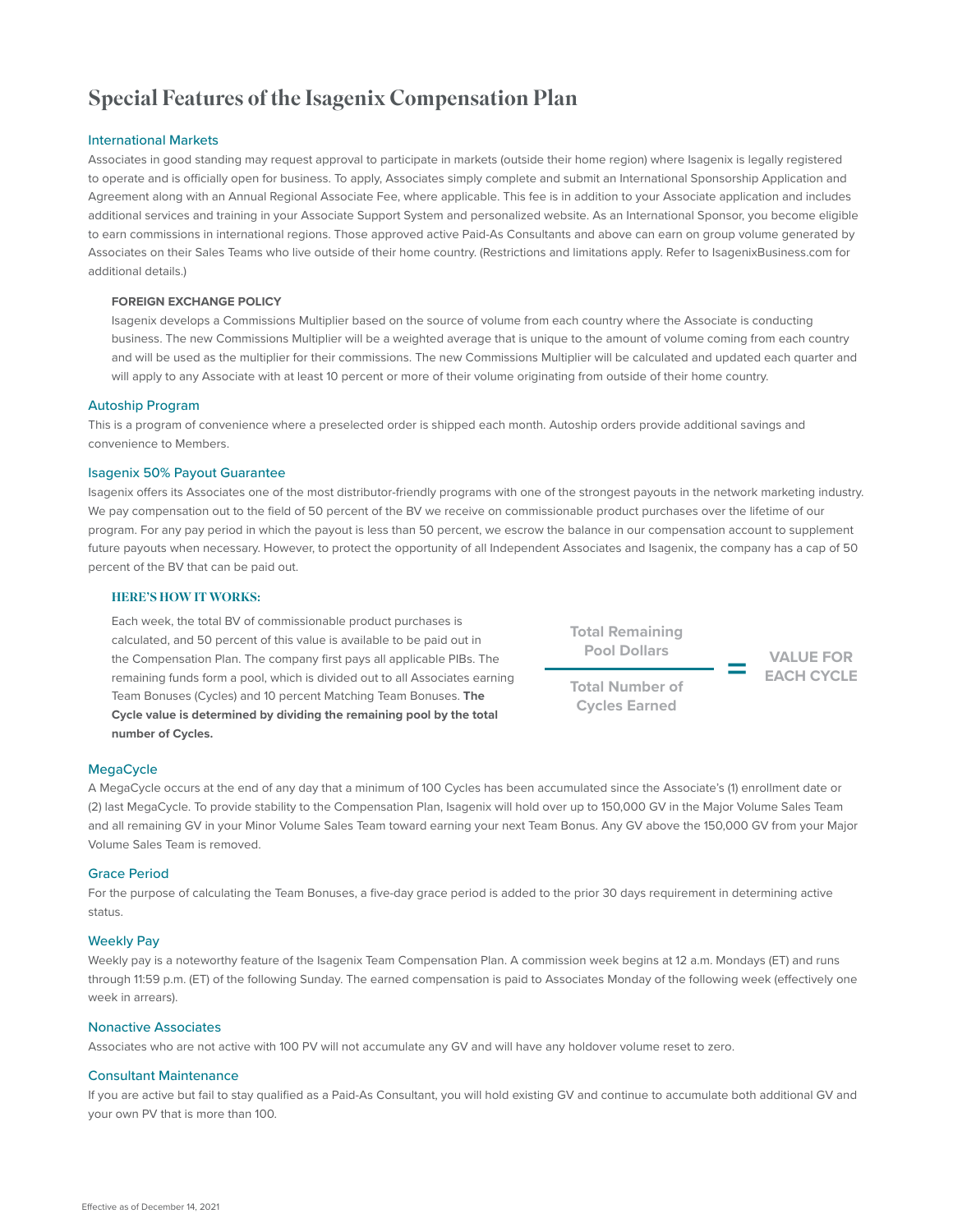# Special Features of the Isagenix Compensation Plan

#### International Markets

Associates in good standing may request approval to participate in markets (outside their home region) where Isagenix is legally registered to operate and is officially open for business. To apply, Associates simply complete and submit an International Sponsorship Application and Agreement along with an Annual Regional Associate Fee, where applicable. This fee is in addition to your Associate application and includes additional services and training in your Associate Support System and personalized website. As an International Sponsor, you become eligible to earn commissions in international regions. Those approved active Paid-As Consultants and above can earn on group volume generated by Associates on their Sales Teams who live outside of their home country. (Restrictions and limitations apply. Refer to IsagenixBusiness.com for additional details.)

#### **FOREIGN EXCHANGE POLICY**

Isagenix develops a Commissions Multiplier based on the source of volume from each country where the Associate is conducting business. The new Commissions Multiplier will be a weighted average that is unique to the amount of volume coming from each country and will be used as the multiplier for their commissions. The new Commissions Multiplier will be calculated and updated each quarter and will apply to any Associate with at least 10 percent or more of their volume originating from outside of their home country.

#### Autoship Program

This is a program of convenience where a preselected order is shipped each month. Autoship orders provide additional savings and convenience to Members.

#### Isagenix 50% Payout Guarantee

Isagenix offers its Associates one of the most distributor-friendly programs with one of the strongest payouts in the network marketing industry. We pay compensation out to the field of 50 percent of the BV we receive on commissionable product purchases over the lifetime of our program. For any pay period in which the payout is less than 50 percent, we escrow the balance in our compensation account to supplement future payouts when necessary. However, to protect the opportunity of all Independent Associates and Isagenix, the company has a cap of 50 percent of the BV that can be paid out.

#### HERE'S HOW IT WORKS:

Each week, the total BV of commissionable product purchases is calculated, and 50 percent of this value is available to be paid out in the Compensation Plan. The company first pays all applicable PIBs. The remaining funds form a pool, which is divided out to all Associates earning Team Bonuses (Cycles) and 10 percent Matching Team Bonuses. **The Cycle value is determined by dividing the remaining pool by the total number of Cycles.**

**Total Remaining Pool Dollars VALUE FOR** 

**Total Number of Cycles Earned**

**= EACH CYCLE**

#### **MegaCycle**

A MegaCycle occurs at the end of any day that a minimum of 100 Cycles has been accumulated since the Associate's (1) enrollment date or (2) last MegaCycle. To provide stability to the Compensation Plan, Isagenix will hold over up to 150,000 GV in the Major Volume Sales Team and all remaining GV in your Minor Volume Sales Team toward earning your next Team Bonus. Any GV above the 150,000 GV from your Major Volume Sales Team is removed.

#### Grace Period

For the purpose of calculating the Team Bonuses, a five-day grace period is added to the prior 30 days requirement in determining active status.

#### Weekly Pay

Weekly pay is a noteworthy feature of the Isagenix Team Compensation Plan. A commission week begins at 12 a.m. Mondays (ET) and runs through 11:59 p.m. (ET) of the following Sunday. The earned compensation is paid to Associates Monday of the following week (effectively one week in arrears).

#### Nonactive Associates

Associates who are not active with 100 PV will not accumulate any GV and will have any holdover volume reset to zero.

#### Consultant Maintenance

If you are active but fail to stay qualified as a Paid-As Consultant, you will hold existing GV and continue to accumulate both additional GV and your own PV that is more than 100.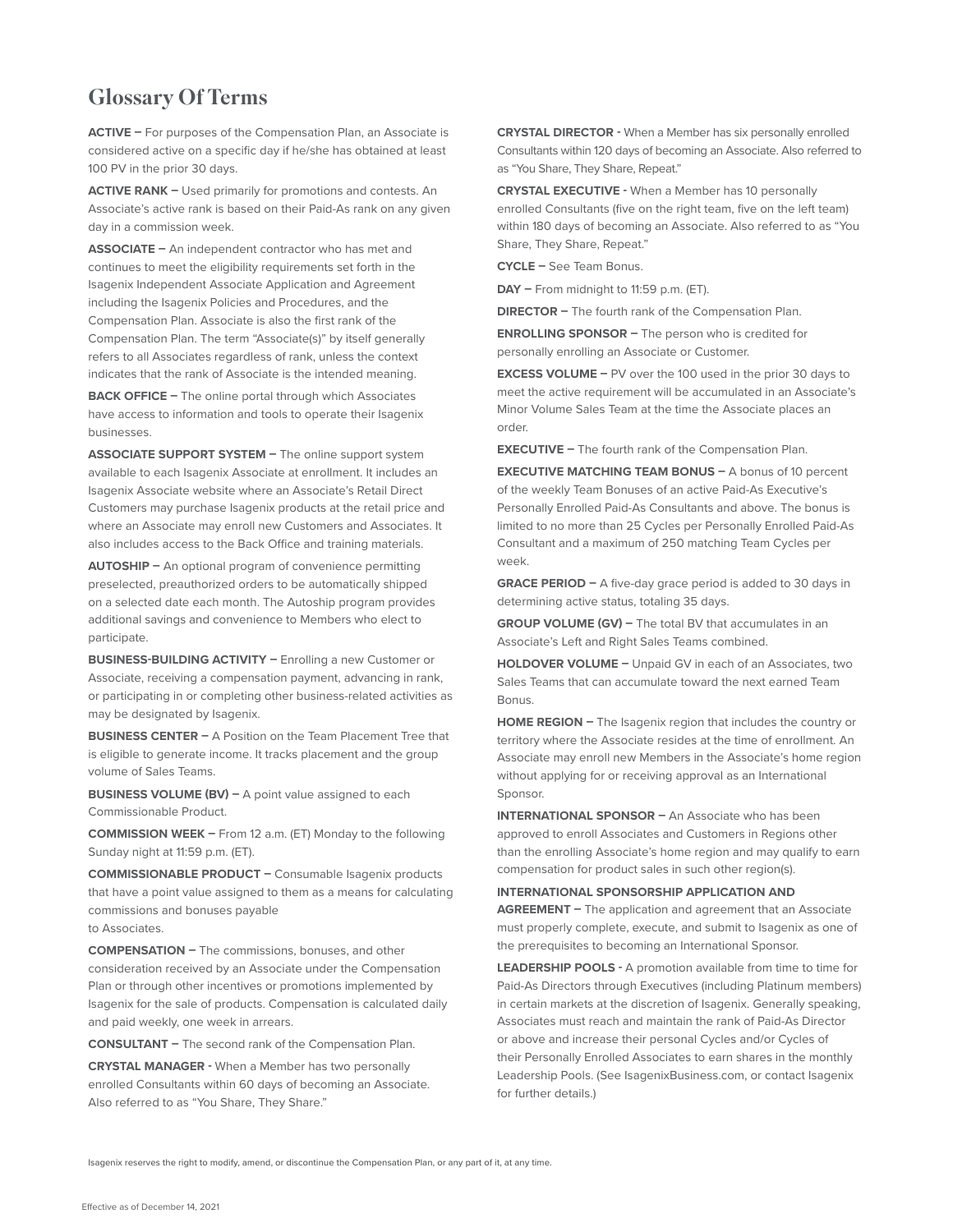# Glossary Of Terms

**ACTIVE –** For purposes of the Compensation Plan, an Associate is considered active on a specific day if he/she has obtained at least 100 PV in the prior 30 days.

**ACTIVE RANK –** Used primarily for promotions and contests. An Associate's active rank is based on their Paid-As rank on any given day in a commission week.

**ASSOCIATE –** An independent contractor who has met and continues to meet the eligibility requirements set forth in the Isagenix Independent Associate Application and Agreement including the Isagenix Policies and Procedures, and the Compensation Plan. Associate is also the first rank of the Compensation Plan. The term "Associate(s)" by itself generally refers to all Associates regardless of rank, unless the context indicates that the rank of Associate is the intended meaning.

**BACK OFFICE –** The online portal through which Associates have access to information and tools to operate their Isagenix businesses.

**ASSOCIATE SUPPORT SYSTEM –** The online support system available to each Isagenix Associate at enrollment. It includes an Isagenix Associate website where an Associate's Retail Direct Customers may purchase Isagenix products at the retail price and where an Associate may enroll new Customers and Associates. It also includes access to the Back Office and training materials.

**AUTOSHIP –** An optional program of convenience permitting preselected, preauthorized orders to be automatically shipped on a selected date each month. The Autoship program provides additional savings and convenience to Members who elect to participate.

**BUSINESS-BUILDING ACTIVITY –** Enrolling a new Customer or Associate, receiving a compensation payment, advancing in rank, or participating in or completing other business-related activities as may be designated by Isagenix.

**BUSINESS CENTER –** A Position on the Team Placement Tree that is eligible to generate income. It tracks placement and the group volume of Sales Teams.

**BUSINESS VOLUME (BV) –** A point value assigned to each Commissionable Product.

**COMMISSION WEEK –** From 12 a.m. (ET) Monday to the following Sunday night at 11:59 p.m. (ET).

**COMMISSIONABLE PRODUCT –** Consumable Isagenix products that have a point value assigned to them as a means for calculating commissions and bonuses payable to Associates.

**COMPENSATION –** The commissions, bonuses, and other consideration received by an Associate under the Compensation Plan or through other incentives or promotions implemented by Isagenix for the sale of products. Compensation is calculated daily and paid weekly, one week in arrears.

**CONSULTANT –** The second rank of the Compensation Plan.

**CRYSTAL MANAGER -** When a Member has two personally enrolled Consultants within 60 days of becoming an Associate. Also referred to as "You Share, They Share."

**CRYSTAL DIRECTOR -** When a Member has six personally enrolled Consultants within 120 days of becoming an Associate. Also referred to as "You Share, They Share, Repeat."

**CRYSTAL EXECUTIVE -** When a Member has 10 personally enrolled Consultants (five on the right team, five on the left team) within 180 days of becoming an Associate. Also referred to as "You Share, They Share, Repeat."

**CYCLE –** See Team Bonus.

**DAY –** From midnight to 11:59 p.m. (ET).

**DIRECTOR –** The fourth rank of the Compensation Plan.

**ENROLLING SPONSOR –** The person who is credited for personally enrolling an Associate or Customer.

**EXCESS VOLUME –** PV over the 100 used in the prior 30 days to meet the active requirement will be accumulated in an Associate's Minor Volume Sales Team at the time the Associate places an order.

**EXECUTIVE –** The fourth rank of the Compensation Plan.

**EXECUTIVE MATCHING TEAM BONUS –** A bonus of 10 percent of the weekly Team Bonuses of an active Paid-As Executive's Personally Enrolled Paid-As Consultants and above. The bonus is limited to no more than 25 Cycles per Personally Enrolled Paid-As Consultant and a maximum of 250 matching Team Cycles per week.

**GRACE PERIOD –** A five-day grace period is added to 30 days in determining active status, totaling 35 days.

**GROUP VOLUME (GV) –** The total BV that accumulates in an Associate's Left and Right Sales Teams combined.

**HOLDOVER VOLUME –** Unpaid GV in each of an Associates, two Sales Teams that can accumulate toward the next earned Team Bonus.

**HOME REGION - The Isagenix region that includes the country or** territory where the Associate resides at the time of enrollment. An Associate may enroll new Members in the Associate's home region without applying for or receiving approval as an International Sponsor.

**INTERNATIONAL SPONSOR –** An Associate who has been approved to enroll Associates and Customers in Regions other than the enrolling Associate's home region and may qualify to earn compensation for product sales in such other region(s).

#### **INTERNATIONAL SPONSORSHIP APPLICATION AND**

**AGREEMENT –** The application and agreement that an Associate must properly complete, execute, and submit to Isagenix as one of the prerequisites to becoming an International Sponsor.

**LEADERSHIP POOLS -** A promotion available from time to time for Paid-As Directors through Executives (including Platinum members) in certain markets at the discretion of Isagenix. Generally speaking, Associates must reach and maintain the rank of Paid-As Director or above and increase their personal Cycles and/or Cycles of their Personally Enrolled Associates to earn shares in the monthly Leadership Pools. (See IsagenixBusiness.com, or contact Isagenix for further details.)

Isagenix reserves the right to modify, amend, or discontinue the Compensation Plan, or any part of it, at any time.